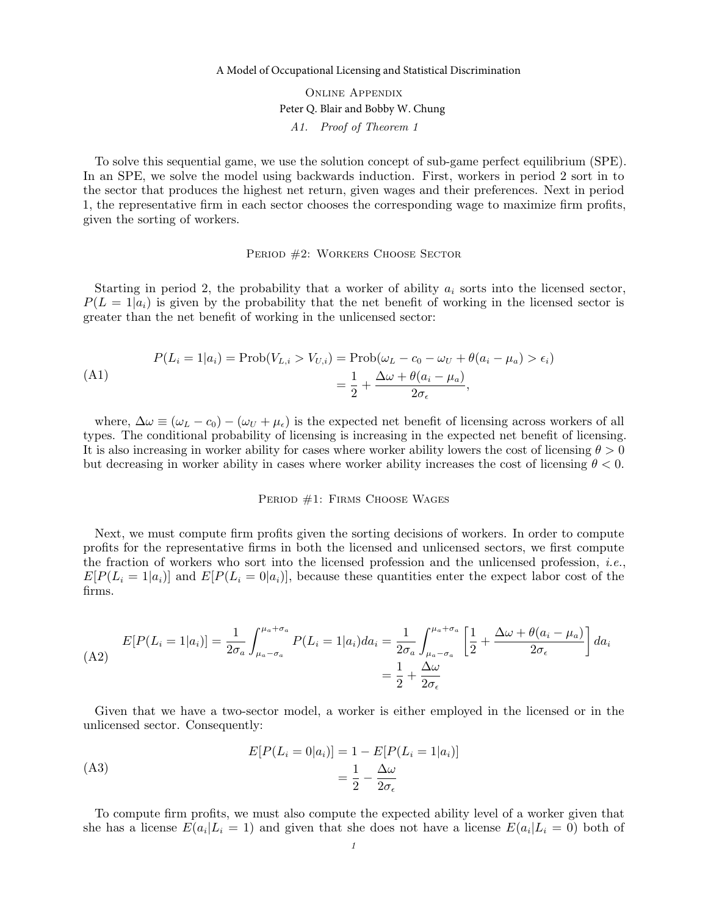## A Model of Occupational Licensing and Statistical Discrimination

Online Appendix A1. Proof of Theorem 1 Peter Q. Blair and Bobby W. Chung

To solve this sequential game, we use the solution concept of sub-game perfect equilibrium (SPE). In an SPE, we solve the model using backwards induction. First, workers in period 2 sort in to the sector that produces the highest net return, given wages and their preferences. Next in period 1, the representative firm in each sector chooses the corresponding wage to maximize firm profits, given the sorting of workers.

### PERIOD #2: WORKERS CHOOSE SECTOR

Starting in period 2, the probability that a worker of ability  $a_i$  sorts into the licensed sector,  $P(L = 1|a_i)$  is given by the probability that the net benefit of working in the licensed sector is greater than the net benefit of working in the unlicensed sector:

$$
P(L_i = 1|a_i) = \text{Prob}(V_{L,i} > V_{U,i}) = \text{Prob}(\omega_L - c_0 - \omega_U + \theta(a_i - \mu_a) > \epsilon_i)
$$
  
= 
$$
\frac{1}{2} + \frac{\Delta \omega + \theta(a_i - \mu_a)}{2\sigma_{\epsilon}},
$$

where,  $\Delta \omega \equiv (\omega_L - c_0) - (\omega_U + \mu_{\epsilon})$  is the expected net benefit of licensing across workers of all types. The conditional probability of licensing is increasing in the expected net benefit of licensing. It is also increasing in worker ability for cases where worker ability lowers the cost of licensing  $\theta > 0$ but decreasing in worker ability in cases where worker ability increases the cost of licensing  $\theta < 0$ .

#### PERIOD #1: FIRMS CHOOSE WAGES

Next, we must compute firm profits given the sorting decisions of workers. In order to compute profits for the representative firms in both the licensed and unlicensed sectors, we first compute the fraction of workers who sort into the licensed profession and the unlicensed profession, *i.e.*,  $E[P(L_i = 1|a_i)]$  and  $E[P(L_i = 0|a_i)]$ , because these quantities enter the expect labor cost of the firms.

$$
E[P(L_i = 1|a_i)] = \frac{1}{2\sigma_a} \int_{\mu_a - \sigma_a}^{\mu_a + \sigma_a} P(L_i = 1|a_i) da_i = \frac{1}{2\sigma_a} \int_{\mu_a - \sigma_a}^{\mu_a + \sigma_a} \left[ \frac{1}{2} + \frac{\Delta\omega + \theta(a_i - \mu_a)}{2\sigma_\epsilon} \right] da_i
$$

$$
= \frac{1}{2} + \frac{\Delta\omega}{2\sigma_\epsilon}
$$

Given that we have a two-sector model, a worker is either employed in the licensed or in the unlicensed sector. Consequently:

$$
E[P(L_i = 0|a_i)] = 1 - E[P(L_i = 1|a_i)]
$$

$$
= \frac{1}{2} - \frac{\Delta\omega}{2\sigma_{\epsilon}}
$$

To compute firm profits, we must also compute the expected ability level of a worker given that she has a license  $E(a_i|L_i = 1)$  and given that she does not have a license  $E(a_i|L_i = 0)$  both of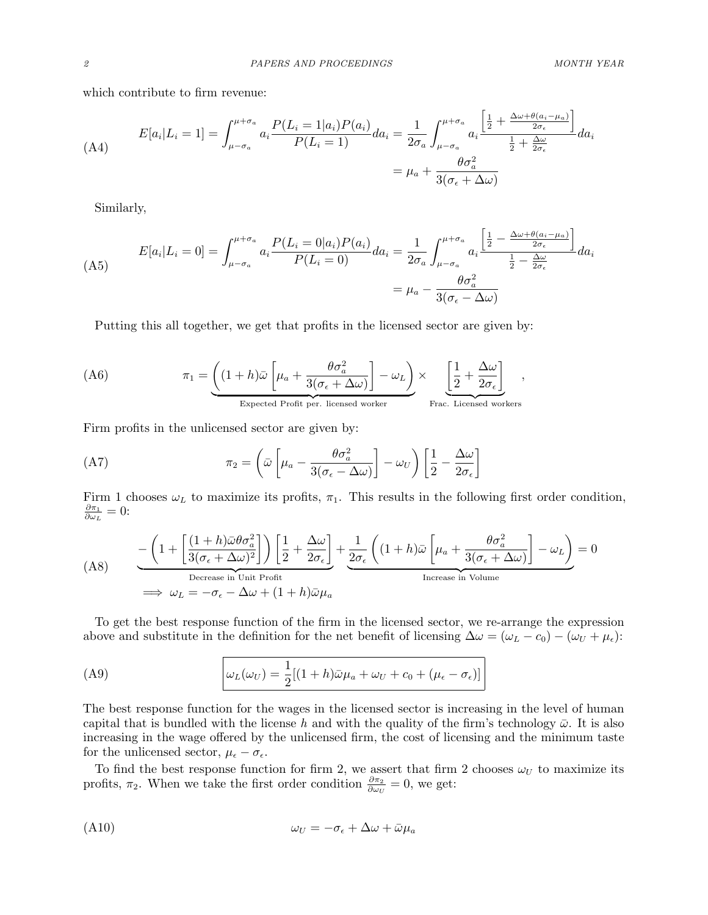which contribute to firm revenue:

$$
(A4) \qquad E[a_i|L_i=1] = \int_{\mu-\sigma_a}^{\mu+\sigma_a} a_i \frac{P(L_i=1|a_i)P(a_i)}{P(L_i=1)} da_i = \frac{1}{2\sigma_a} \int_{\mu-\sigma_a}^{\mu+\sigma_a} a_i \frac{\left[\frac{1}{2} + \frac{\Delta\omega + \theta(a_i-\mu_a)}{2\sigma_\epsilon}\right]}{\frac{1}{2} + \frac{\Delta\omega}{2\sigma_\epsilon}} da_i
$$

$$
= \mu_a + \frac{\theta\sigma_a^2}{3(\sigma_\epsilon + \Delta\omega)}
$$

Similarly,

$$
(A5) \qquad E[a_i|L_i=0] = \int_{\mu-\sigma_a}^{\mu+\sigma_a} a_i \frac{P(L_i=0|a_i)P(a_i)}{P(L_i=0)} da_i = \frac{1}{2\sigma_a} \int_{\mu-\sigma_a}^{\mu+\sigma_a} a_i \frac{\left[\frac{1}{2} - \frac{\Delta\omega + \theta(a_i-\mu_a)}{2\sigma_\epsilon}\right]}{\frac{1}{2} - \frac{\Delta\omega}{2\sigma_\epsilon}} da_i
$$
\n
$$
= \mu_a - \frac{\theta\sigma_a^2}{3(\sigma_\epsilon - \Delta\omega)}
$$

Putting this all together, we get that profits in the licensed sector are given by:

(A6) 
$$
\pi_1 = \underbrace{\left( (1+h)\bar{\omega} \left[ \mu_a + \frac{\theta \sigma_a^2}{3(\sigma_{\epsilon} + \Delta \omega)} \right] - \omega_L \right)}_{\text{Expected Profit per. licensed worker}} \times \underbrace{\left[ \frac{1}{2} + \frac{\Delta \omega}{2\sigma_{\epsilon}} \right]}_{\text{Frac. Licensed workers}},
$$

Firm profits in the unlicensed sector are given by:

(A7) 
$$
\pi_2 = \left(\bar{\omega}\left[\mu_a - \frac{\theta \sigma_a^2}{3(\sigma_{\epsilon} - \Delta \omega)}\right] - \omega_U\right) \left[\frac{1}{2} - \frac{\Delta \omega}{2\sigma_{\epsilon}}\right]
$$

Firm 1 chooses  $\omega_L$  to maximize its profits,  $\pi_1$ . This results in the following first order condition,  $\partial\pi_1$  $\frac{\partial \pi_1}{\partial \omega_L}=0$ :

$$
(A8) \qquad \frac{-\left(1+\left[\frac{(1+h)\bar{\omega}\theta\sigma_a^2}{3(\sigma_{\epsilon}+\Delta\omega)^2}\right]\right)\left[\frac{1}{2}+\frac{\Delta\omega}{2\sigma_{\epsilon}}\right]}{\text{Decrease in Unit Profit}} + \frac{1}{2\sigma_{\epsilon}}\left((1+h)\bar{\omega}\left[\mu_a + \frac{\theta\sigma_a^2}{3(\sigma_{\epsilon}+\Delta\omega)}\right] - \omega_L\right)} = 0
$$
\n
$$
\implies \omega_L = -\sigma_{\epsilon} - \Delta\omega + (1+h)\bar{\omega}\mu_a
$$

To get the best response function of the firm in the licensed sector, we re-arrange the expression above and substitute in the definition for the net benefit of licensing  $\Delta \omega = (\omega_L - c_0) - (\omega_U + \mu_{\epsilon})$ :

(A9) 
$$
\omega_L(\omega_U) = \frac{1}{2}[(1+h)\bar{\omega}\mu_a + \omega_U + c_0 + (\mu_{\epsilon} - \sigma_{\epsilon})]
$$

The best response function for the wages in the licensed sector is increasing in the level of human capital that is bundled with the license h and with the quality of the firm's technology  $\bar{\omega}$ . It is also increasing in the wage offered by the unlicensed firm, the cost of licensing and the minimum taste for the unlicensed sector,  $\mu_{\epsilon} - \sigma_{\epsilon}$ .

To find the best response function for firm 2, we assert that firm 2 chooses  $\omega_U$  to maximize its profits,  $\pi_2$ . When we take the first order condition  $\frac{\partial \pi_2}{\partial \omega_U} = 0$ , we get:

$$
\omega_U = -\sigma_{\epsilon} + \Delta \omega + \bar{\omega} \mu_a
$$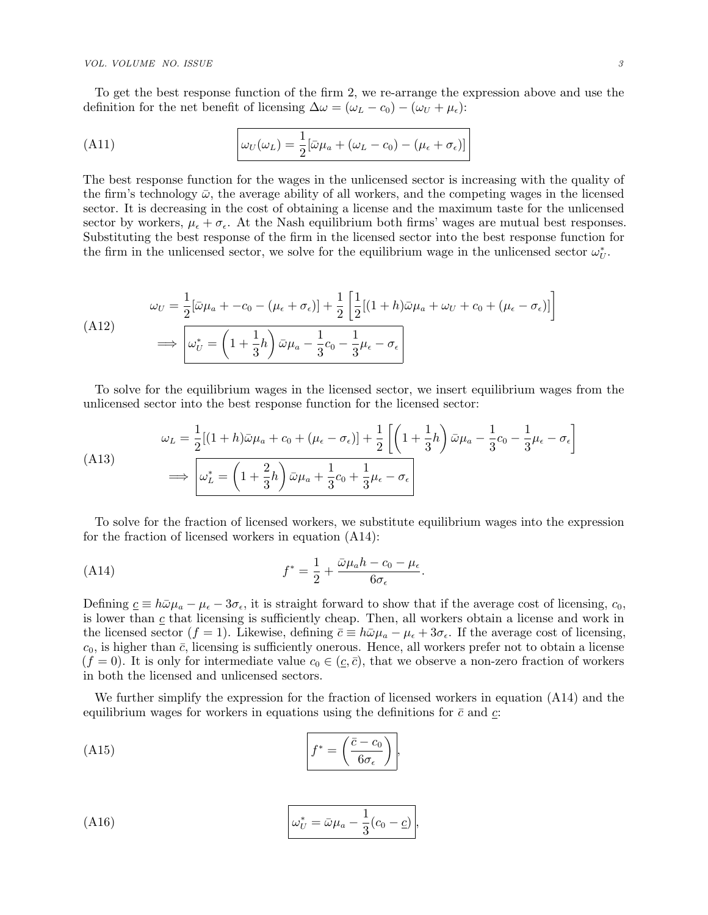#### VOL. VOLUME NO. ISSUE 3

To get the best response function of the firm 2, we re-arrange the expression above and use the definition for the net benefit of licensing  $\Delta \omega = (\omega_L - c_0) - (\omega_U + \mu_{\epsilon})$ :

(A11) 
$$
\omega_U(\omega_L) = \frac{1}{2} [\bar{\omega}\mu_a + (\omega_L - c_0) - (\mu_{\epsilon} + \sigma_{\epsilon})]
$$

The best response function for the wages in the unlicensed sector is increasing with the quality of the firm's technology  $\bar{\omega}$ , the average ability of all workers, and the competing wages in the licensed sector. It is decreasing in the cost of obtaining a license and the maximum taste for the unlicensed sector by workers,  $\mu_{\epsilon} + \sigma_{\epsilon}$ . At the Nash equilibrium both firms' wages are mutual best responses. Substituting the best response of the firm in the licensed sector into the best response function for the firm in the unlicensed sector, we solve for the equilibrium wage in the unlicensed sector  $\omega_U^*$ .

$$
\omega_U = \frac{1}{2} [\bar{\omega}\mu_a + -c_0 - (\mu_{\epsilon} + \sigma_{\epsilon})] + \frac{1}{2} \left[ \frac{1}{2} [(1+h)\bar{\omega}\mu_a + \omega_U + c_0 + (\mu_{\epsilon} - \sigma_{\epsilon})] \right]
$$
  
(A12)  

$$
\implies \boxed{\omega_U^* = \left( 1 + \frac{1}{3}h \right) \bar{\omega}\mu_a - \frac{1}{3}c_0 - \frac{1}{3}\mu_{\epsilon} - \sigma_{\epsilon}}
$$

To solve for the equilibrium wages in the licensed sector, we insert equilibrium wages from the unlicensed sector into the best response function for the licensed sector:

$$
\omega_L = \frac{1}{2}[(1+h)\bar{\omega}\mu_a + c_0 + (\mu_{\epsilon} - \sigma_{\epsilon})] + \frac{1}{2}\left[\left(1 + \frac{1}{3}h\right)\bar{\omega}\mu_a - \frac{1}{3}c_0 - \frac{1}{3}\mu_{\epsilon} - \sigma_{\epsilon}\right]
$$
\n
$$
\implies \omega_L^* = \left(1 + \frac{2}{3}h\right)\bar{\omega}\mu_a + \frac{1}{3}c_0 + \frac{1}{3}\mu_{\epsilon} - \sigma_{\epsilon}
$$

To solve for the fraction of licensed workers, we substitute equilibrium wages into the expression for the fraction of licensed workers in equation [\(A14\)](#page-2-0):

<span id="page-2-0"></span>.

(A14) 
$$
f^* = \frac{1}{2} + \frac{\bar{\omega}\mu_a h - c_0 - \mu_{\epsilon}}{6\sigma_{\epsilon}}
$$

Defining  $c \equiv h\bar{\omega}\mu_a - \mu_{\epsilon} - 3\sigma_{\epsilon}$ , it is straight forward to show that if the average cost of licensing,  $c_0$ , is lower than  $c$  that licensing is sufficiently cheap. Then, all workers obtain a license and work in the licensed sector  $(f = 1)$ . Likewise, defining  $\bar{c} \equiv h\bar{\omega}\mu_a - \mu_{\epsilon} + 3\sigma_{\epsilon}$ . If the average cost of licensing,  $c_0$ , is higher than  $\bar{c}$ , licensing is sufficiently onerous. Hence, all workers prefer not to obtain a license  $(f = 0)$ . It is only for intermediate value  $c_0 \in (\underline{c}, \overline{c})$ , that we observe a non-zero fraction of workers in both the licensed and unlicensed sectors.

We further simplify the expression for the fraction of licensed workers in equation [\(A14\)](#page-2-0) and the equilibrium wages for workers in equations using the definitions for  $\bar{c}$  and  $c$ :

$$
(A15)\qquad \qquad f^* = \left(\frac{\bar{c} - c_0}{6\sigma_{\epsilon}}\right),
$$

(A16) 
$$
\omega_U^* = \bar{\omega}\mu_a - \frac{1}{3}(c_0 - \underline{c}),
$$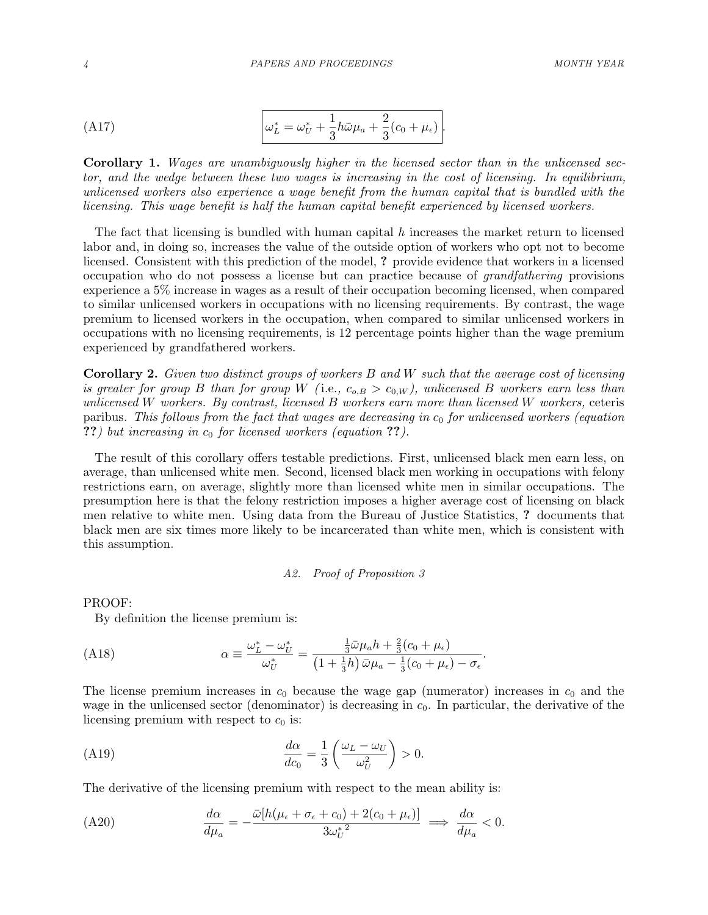$$
\left(\text{A17}\right) \qquad \qquad \left|\omega_L^* = \omega_U^* + \frac{1}{3}h\bar{\omega}\mu_a + \frac{2}{3}(c_0 + \mu_\epsilon)\right|.
$$

Corollary 1. Wages are unambiguously higher in the licensed sector than in the unlicensed sector, and the wedge between these two wages is increasing in the cost of licensing. In equilibrium, unlicensed workers also experience a wage benefit from the human capital that is bundled with the licensing. This wage benefit is half the human capital benefit experienced by licensed workers.

The fact that licensing is bundled with human capital  $h$  increases the market return to licensed labor and, in doing so, increases the value of the outside option of workers who opt not to become licensed. Consistent with this prediction of the model, ? provide evidence that workers in a licensed occupation who do not possess a license but can practice because of grandfathering provisions experience a 5% increase in wages as a result of their occupation becoming licensed, when compared to similar unlicensed workers in occupations with no licensing requirements. By contrast, the wage premium to licensed workers in the occupation, when compared to similar unlicensed workers in occupations with no licensing requirements, is 12 percentage points higher than the wage premium experienced by grandfathered workers.

Corollary 2. Given two distinct groups of workers B and W such that the average cost of licensing is greater for group B than for group W (i.e.,  $c_{o,B} > c_{0,W}$ ), unlicensed B workers earn less than unlicensed W workers. By contrast, licensed B workers earn more than licensed W workers, ceteris paribus. This follows from the fact that wages are decreasing in  $c_0$  for unlicensed workers (equation ??) but increasing in  $c_0$  for licensed workers (equation ??).

The result of this corollary offers testable predictions. First, unlicensed black men earn less, on average, than unlicensed white men. Second, licensed black men working in occupations with felony restrictions earn, on average, slightly more than licensed white men in similar occupations. The presumption here is that the felony restriction imposes a higher average cost of licensing on black men relative to white men. Using data from the Bureau of Justice Statistics, ? documents that black men are six times more likely to be incarcerated than white men, which is consistent with this assumption.

## A2. Proof of Proposition 3

PROOF:

By definition the license premium is:

$$
(A18) \t\t\t\t\t\t\alpha \equiv \frac{\omega_L^* - \omega_U^*}{\omega_U^*} = \frac{\frac{1}{3}\bar{\omega}\mu_a h + \frac{2}{3}(c_0 + \mu_\epsilon)}{(1 + \frac{1}{3}h)\bar{\omega}\mu_a - \frac{1}{3}(c_0 + \mu_\epsilon) - \sigma_\epsilon}.
$$

The license premium increases in  $c_0$  because the wage gap (numerator) increases in  $c_0$  and the wage in the unlicensed sector (denominator) is decreasing in  $c<sub>0</sub>$ . In particular, the derivative of the licensing premium with respect to  $c_0$  is:

$$
\frac{d\alpha}{dc_0} = \frac{1}{3} \left( \frac{\omega_L - \omega_U}{\omega_U^2} \right) > 0.
$$

The derivative of the licensing premium with respect to the mean ability is:

$$
(A20) \qquad \frac{d\alpha}{d\mu_a} = -\frac{\bar{\omega}[h(\mu_{\epsilon} + \sigma_{\epsilon} + c_0) + 2(c_0 + \mu_{\epsilon})]}{3\omega_U^{*2}} \implies \frac{d\alpha}{d\mu_a} < 0.
$$